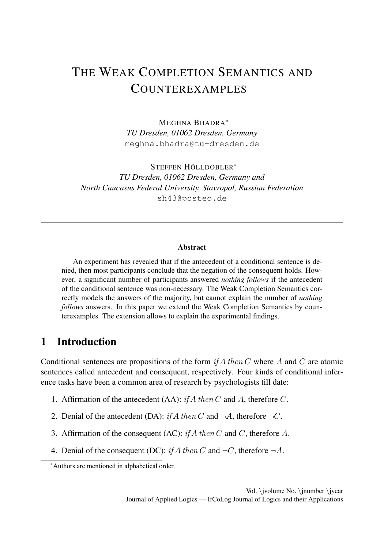# THE WEAK COMPLETION SEMANTICS AND COUNTEREXAMPLES

MEGHNA BHADRA\* *TU Dresden, 01062 Dresden, Germany* meghna.bhadra@tu-dresden.de

STEFFEN HÖLLDOBLER\* *TU Dresden, 01062 Dresden, Germany and North Caucasus Federal University, Stavropol, Russian Federation* sh43@posteo.de

#### Abstract

An experiment has revealed that if the antecedent of a conditional sentence is denied, then most participants conclude that the negation of the consequent holds. However, a significant number of participants answered *nothing follows* if the antecedent of the conditional sentence was non-necessary. The Weak Completion Semantics correctly models the answers of the majority, but cannot explain the number of *nothing follows* answers. In this paper we extend the Weak Completion Semantics by counterexamples. The extension allows to explain the experimental findings.

## 1 Introduction

Conditional sentences are propositions of the form *if A then C* where *A* and *C* are atomic sentences called antecedent and consequent, respectively. Four kinds of conditional inference tasks have been a common area of research by psychologists till date:

- 1. Affirmation of the antecedent (AA): *if A then C* and *A*, therefore *C*.
- 2. Denial of the antecedent (DA): *if*  $A$  *then*  $C$  and  $\neg A$ , therefore  $\neg C$ .
- 3. Affirmation of the consequent (AC): *if A then C* and *C*, therefore *A*.
- 4. Denial of the consequent (DC): *if*  $A$  *then*  $C$  and  $\neg C$ , therefore  $\neg A$ .

<sup>\*</sup>Authors are mentioned in alphabetical order.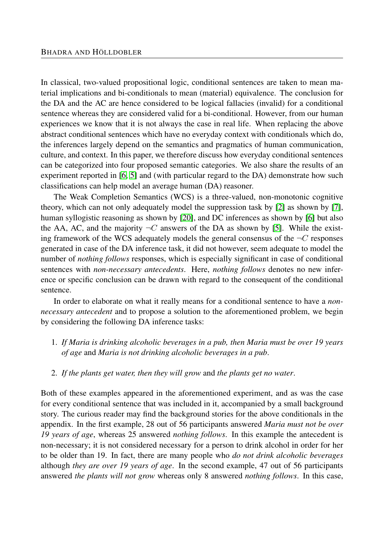In classical, two-valued propositional logic, conditional sentences are taken to mean material implications and bi-conditionals to mean (material) equivalence. The conclusion for the DA and the AC are hence considered to be logical fallacies (invalid) for a conditional sentence whereas they are considered valid for a bi-conditional. However, from our human experiences we know that it is not always the case in real life. When replacing the above abstract conditional sentences which have no everyday context with conditionals which do, the inferences largely depend on the semantics and pragmatics of human communication, culture, and context. In this paper, we therefore discuss how everyday conditional sentences can be categorized into four proposed semantic categories. We also share the results of an experiment reported in [\[6,](#page-25-0) [5\]](#page-25-1) and (with particular regard to the DA) demonstrate how such classifications can help model an average human (DA) reasoner.

The Weak Completion Semantics (WCS) is a three-valued, non-monotonic cognitive theory, which can not only adequately model the suppression task by [\[2\]](#page-24-0) as shown by [\[7\]](#page-25-2), human syllogistic reasoning as shown by [\[20\]](#page-26-0), and DC inferences as shown by [\[6\]](#page-25-0) but also the AA, AC, and the majority  $\neg C$  answers of the DA as shown by [\[5\]](#page-25-1). While the existing framework of the WCS adequately models the general consensus of the  $\neg C$  responses generated in case of the DA inference task, it did not however, seem adequate to model the number of *nothing follows* responses, which is especially significant in case of conditional sentences with *non-necessary antecedents*. Here, *nothing follows* denotes no new inference or specific conclusion can be drawn with regard to the consequent of the conditional sentence.

In order to elaborate on what it really means for a conditional sentence to have a *nonnecessary antecedent* and to propose a solution to the aforementioned problem, we begin by considering the following DA inference tasks:

- <span id="page-1-0"></span>1. *If Maria is drinking alcoholic beverages in a pub, then Maria must be over 19 years of age* and *Maria is not drinking alcoholic beverages in a pub*.
- <span id="page-1-1"></span>2. *If the plants get water, then they will grow* and *the plants get no water*.

Both of these examples appeared in the aforementioned experiment, and as was the case for every conditional sentence that was included in it, accompanied by a small background story. The curious reader may find the background stories for the above conditionals in the appendix. In the first example, 28 out of 56 participants answered *Maria must not be over 19 years of age*, whereas 25 answered *nothing follows*. In this example the antecedent is non-necessary; it is not considered necessary for a person to drink alcohol in order for her to be older than 19. In fact, there are many people who *do not drink alcoholic beverages* although *they are over 19 years of age*. In the second example, 47 out of 56 participants answered *the plants will not grow* whereas only 8 answered *nothing follows*. In this case,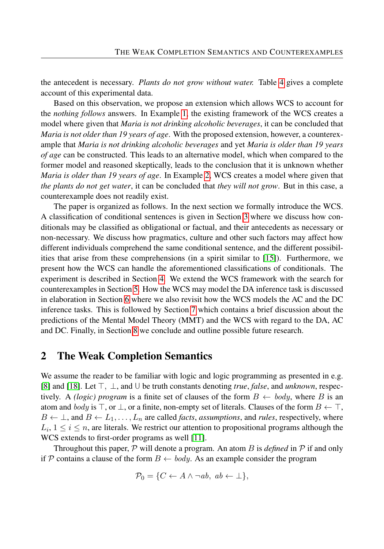the antecedent is necessary. *Plants do not grow without water.* Table [4](#page-10-0) gives a complete account of this experimental data.

Based on this observation, we propose an extension which allows WCS to account for the *nothing follows* answers. In Example [1,](#page-1-0) the existing framework of the WCS creates a model where given that *Maria is not drinking alcoholic beverages*, it can be concluded that *Maria is not older than 19 years of age*. With the proposed extension, however, a counterexample that *Maria is not drinking alcoholic beverages* and yet *Maria is older than 19 years of age* can be constructed. This leads to an alternative model, which when compared to the former model and reasoned skeptically, leads to the conclusion that it is unknown whether *Maria is older than 19 years of age*. In Example [2,](#page-1-1) WCS creates a model where given that *the plants do not get water*, it can be concluded that *they will not grow*. But in this case, a counterexample does not readily exist.

The paper is organized as follows. In the next section we formally introduce the WCS. A classification of conditional sentences is given in Section [3](#page-5-0) where we discuss how conditionals may be classified as obligational or factual, and their antecedents as necessary or non-necessary. We discuss how pragmatics, culture and other such factors may affect how different individuals comprehend the same conditional sentence, and the different possibilities that arise from these comprehensions (in a spirit similar to [\[15\]](#page-25-3)). Furthermore, we present how the WCS can handle the aforementioned classifications of conditionals. The experiment is described in Section [4.](#page-8-0) We extend the WCS framework with the search for counterexamples in Section [5.](#page-11-0) How the WCS may model the DA inference task is discussed in elaboration in Section [6](#page-13-0) where we also revisit how the WCS models the AC and the DC inference tasks. This is followed by Section [7](#page-19-0) which contains a brief discussion about the predictions of the Mental Model Theory (MMT) and the WCS with regard to the DA, AC and DC. Finally, in Section [8](#page-21-0) we conclude and outline possible future research.

### <span id="page-2-0"></span>2 The Weak Completion Semantics

We assume the reader to be familiar with logic and logic programming as presented in e.g. [\[8\]](#page-25-4) and [\[18\]](#page-25-5). Let ⊤*,* ⊥, and U be truth constants denoting *true*, *false*, and *unknown*, respectively. A *(logic) program* is a finite set of clauses of the form  $B \leftarrow body$ , where B is an atom and *body* is  $\top$ , or  $\bot$ , or a finite, non-empty set of literals. Clauses of the form  $B \leftarrow \top$ ,  $B \leftarrow \perp$ , and  $B \leftarrow L_1, \ldots, L_n$  are called *facts*, *assumptions*, and *rules*, respectively, where  $L_i, 1 \leq i \leq n$ , are literals. We restrict our attention to propositional programs although the WCS extends to first-order programs as well [\[11\]](#page-25-6).

Throughout this paper, P will denote a program. An atom *B* is *defined* in P if and only if P contains a clause of the form  $B \leftarrow body$ . As an example consider the program

$$
\mathcal{P}_0 = \{ C \leftarrow A \land \neg ab, \ ab \leftarrow \bot \},\
$$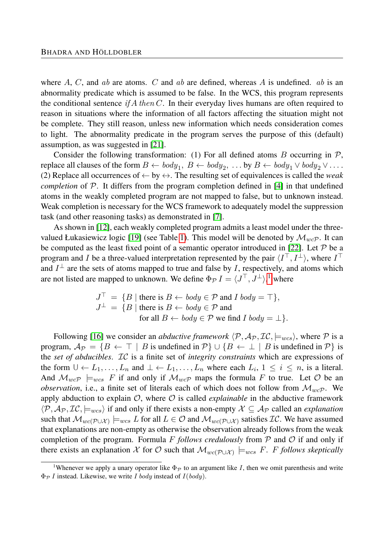where *A*, *C*, and *ab* are atoms. *C* and *ab* are defined, whereas *A* is undefined. *ab* is an abnormality predicate which is assumed to be false. In the WCS, this program represents the conditional sentence *if A then C*. In their everyday lives humans are often required to reason in situations where the information of all factors affecting the situation might not be complete. They still reason, unless new information which needs consideration comes to light. The abnormality predicate in the program serves the purpose of this (default) assumption, as was suggested in [\[21\]](#page-26-1).

Consider the following transformation: (1) For all defined atoms  $B$  occurring in  $\mathcal{P}$ , replace all clauses of the form  $B \leftarrow body_1, B \leftarrow body_2, \ldots$  by  $B \leftarrow body_1 \vee body_2 \vee \ldots$ . (2) Replace all occurrences of  $\leftarrow$  by  $\leftrightarrow$ . The resulting set of equivalences is called the *weak completion* of P. It differs from the program completion defined in [\[4\]](#page-25-7) in that undefined atoms in the weakly completed program are not mapped to false, but to unknown instead. Weak completion is necessary for the WCS framework to adequately model the suppression task (and other reasoning tasks) as demonstrated in [\[7\]](#page-25-2).

As shown in [\[12\]](#page-25-8), each weakly completed program admits a least model under the three-valued Łukasiewicz logic [\[19\]](#page-26-2) (see Table [1\)](#page-4-0). This model will be denoted by  $\mathcal{M}_{w\circ P}$ . It can be computed as the least fixed point of a semantic operator introduced in [\[22\]](#page-26-3). Let  $P$  be a program and *I* be a three-valued interpretation represented by the pair  $\langle I^{\top}, I^{\perp} \rangle$ , where  $I^{\top}$ and  $I^{\perp}$  are the sets of atoms mapped to true and false by *I*, respectively, and atoms which are not listed are mapped to unknown. We define  $\Phi_{\mathcal{P}} I = \langle J^{\top}, J^{\perp} \rangle$ ,<sup>[1](#page-3-0)</sup> where

$$
J^{\top} = \{ B \mid \text{there is } B \leftarrow body \in \mathcal{P} \text{ and } I \text{ } body = \top \},
$$
  

$$
J^{\perp} = \{ B \mid \text{there is } B \leftarrow body \in \mathcal{P} \text{ and}
$$
  
for all  $B \leftarrow body \in \mathcal{P} \text{ we find } I \text{ } body = \bot \}.$ 

Following [\[16\]](#page-25-9) we consider an *abductive framework*  $\langle P, A_P, \mathcal{IC}, \models_{wcs} \rangle$ , where P is a program,  $\mathcal{A}_{\mathcal{P}} = \{B \leftarrow \top | B \text{ is undefined in } \mathcal{P}\} \cup \{B \leftarrow \bot | B \text{ is undefined in } \mathcal{P}\}$  is the *set of abducibles*. IC is a finite set of *integrity constraints* which are expressions of the form  $\cup \{L_1, \ldots, L_n\}$  and  $\bot \{L_1, \ldots, L_n\}$  where each  $L_i$ ,  $1 \leq i \leq n$ , is a literal. And  $\mathcal{M}_{wcP}$   $\models_{wcs}$  *F* if and only if  $\mathcal{M}_{wcP}$  maps the formula *F* to true. Let  $\mathcal O$  be an *observation*, i.e., a finite set of literals each of which does not follow from  $\mathcal{M}_{wcP}$ . We apply abduction to explain  $\mathcal{O}$ , where  $\mathcal O$  is called *explainable* in the abductive framework  $\langle P, A_P, \mathcal{IC}, \models_{wcs} \rangle$  if and only if there exists a non-empty  $\mathcal{X} \subseteq A_P$  called an *explanation* such that  $\mathcal{M}_{wc(\mathcal{P}\cup\mathcal{X})} \models_{wcs} L$  for all  $L \in \mathcal{O}$  and  $\mathcal{M}_{wc(\mathcal{P}\cup\mathcal{X})}$  satisfies  $\mathcal{IC}$ . We have assumed that explanations are non-empty as otherwise the observation already follows from the weak completion of the program. Formula  $F$  *follows credulously* from  $\mathcal P$  and  $\mathcal O$  if and only if there exists an explanation X for O such that  $\mathcal{M}_{wc(\mathcal{P} \cup \mathcal{X})} \models_{wcs} F$ . *F follows skeptically* 

<span id="page-3-0"></span><sup>&</sup>lt;sup>1</sup>Whenever we apply a unary operator like  $\Phi_{\mathcal{P}}$  to an argument like *I*, then we omit parenthesis and write Φ<sup>P</sup> *I* instead. Likewise, we write *I body* instead of *I*(*body*).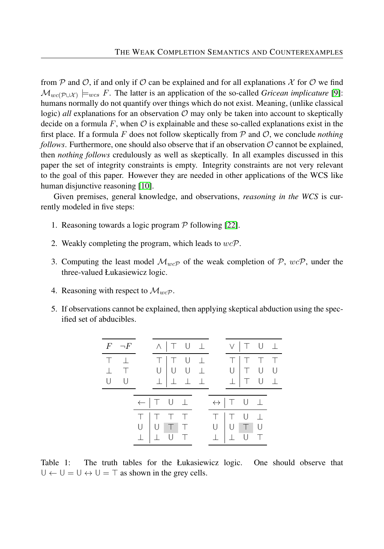from P and O, if and only if O can be explained and for all explanations  $\mathcal X$  for O we find  $\mathcal{M}_{wc(\mathcal{P} \cup \mathcal{X})} \models_{wcs} F$ . The latter is an application of the so-called *Gricean implicature* [\[9\]](#page-25-10): humans normally do not quantify over things which do not exist. Meaning, (unlike classical logic) *all* explanations for an observation  $\mathcal O$  may only be taken into account to skeptically decide on a formula  $F$ , when  $\mathcal O$  is explainable and these so-called explanations exist in the first place. If a formula F does not follow skeptically from  $P$  and  $O$ , we conclude *nothing follows*. Furthermore, one should also observe that if an observation  $\mathcal{O}$  cannot be explained, then *nothing follows* credulously as well as skeptically. In all examples discussed in this paper the set of integrity constraints is empty. Integrity constraints are not very relevant to the goal of this paper. However they are needed in other applications of the WCS like human disjunctive reasoning [\[10\]](#page-25-11).

Given premises, general knowledge, and observations, *reasoning in the WCS* is currently modeled in five steps:

- 1. Reasoning towards a logic program  $P$  following [\[22\]](#page-26-3).
- 2. Weakly completing the program, which leads to *wc*P.
- 3. Computing the least model  $\mathcal{M}_{w\in\mathcal{P}}$  of the weak completion of  $\mathcal{P}$ ,  $w\in\mathcal{P}$ , under the three-valued Łukasiewicz logic.
- 4. Reasoning with respect to  $\mathcal{M}_{wcP}$ .
- <span id="page-4-0"></span>5. If observations cannot be explained, then applying skeptical abduction using the specified set of abducibles.

| $F \neg F$                          |                | $\wedge$   T U $\perp$                            |     |        |                                 | V   T U 1                        |        |  |
|-------------------------------------|----------------|---------------------------------------------------|-----|--------|---------------------------------|----------------------------------|--------|--|
| $T_{\perp}$<br>$\perp$ T<br>$U$ $U$ |                | T   T U 1<br>$U$ $U$ $U$ $\perp$<br>上             | 工工工 |        | $\top$<br>$\cup$<br>$\perp$     | $ T$ $T$<br>T U                  | T U L  |  |
|                                     | $U$ $ U $<br>上 | $\leftarrow$   T U $\perp$<br>T   T   T<br>$\top$ |     | T<br>U | $\leftrightarrow$   T U $\perp$ | TU T<br>$\top$<br>H <sub>1</sub> | $\Box$ |  |

Table 1: The truth tables for the Łukasiewicz logic. One should observe that  $U \leftarrow U = U \leftrightarrow U = T$  as shown in the grey cells.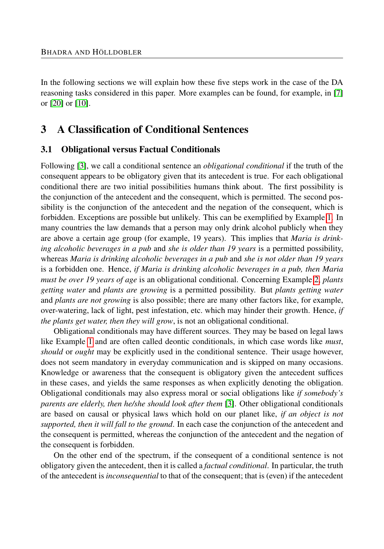In the following sections we will explain how these five steps work in the case of the DA reasoning tasks considered in this paper. More examples can be found, for example, in [\[7\]](#page-25-2) or [\[20\]](#page-26-0) or [\[10\]](#page-25-11).

## <span id="page-5-0"></span>3 A Classification of Conditional Sentences

#### <span id="page-5-1"></span>3.1 Obligational versus Factual Conditionals

Following [\[3\]](#page-25-12), we call a conditional sentence an *obligational conditional* if the truth of the consequent appears to be obligatory given that its antecedent is true. For each obligational conditional there are two initial possibilities humans think about. The first possibility is the conjunction of the antecedent and the consequent, which is permitted. The second possibility is the conjunction of the antecedent and the negation of the consequent, which is forbidden. Exceptions are possible but unlikely. This can be exemplified by Example [1.](#page-1-0) In many countries the law demands that a person may only drink alcohol publicly when they are above a certain age group (for example, 19 years). This implies that *Maria is drinking alcoholic beverages in a pub* and *she is older than 19 years* is a permitted possibility, whereas *Maria is drinking alcoholic beverages in a pub* and *she is not older than 19 years* is a forbidden one. Hence, *if Maria is drinking alcoholic beverages in a pub, then Maria must be over 19 years of age* is an obligational conditional. Concerning Example [2,](#page-1-1) *plants getting water* and *plants are growing* is a permitted possibility. But *plants getting water* and *plants are not growing* is also possible; there are many other factors like, for example, over-watering, lack of light, pest infestation, etc. which may hinder their growth. Hence, *if the plants get water, then they will grow*, is not an obligational conditional.

Obligational conditionals may have different sources. They may be based on legal laws like Example [1](#page-1-0) and are often called deontic conditionals, in which case words like *must*, *should* or *ought* may be explicitly used in the conditional sentence. Their usage however, does not seem mandatory in everyday communication and is skipped on many occasions. Knowledge or awareness that the consequent is obligatory given the antecedent suffices in these cases, and yields the same responses as when explicitly denoting the obligation. Obligational conditionals may also express moral or social obligations like *if somebody's parents are elderly, then he/she should look after them* [\[3\]](#page-25-12). Other obligational conditionals are based on causal or physical laws which hold on our planet like, *if an object is not supported, then it will fall to the ground*. In each case the conjunction of the antecedent and the consequent is permitted, whereas the conjunction of the antecedent and the negation of the consequent is forbidden.

On the other end of the spectrum, if the consequent of a conditional sentence is not obligatory given the antecedent, then it is called a *factual conditional*. In particular, the truth of the antecedent is *inconsequential* to that of the consequent; that is (even) if the antecedent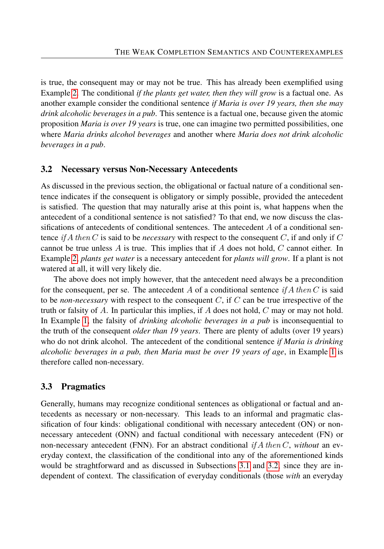is true, the consequent may or may not be true. This has already been exemplified using Example [2.](#page-1-1) The conditional *if the plants get water, then they will grow* is a factual one. As another example consider the conditional sentence *if Maria is over 19 years, then she may drink alcoholic beverages in a pub*. This sentence is a factual one, because given the atomic proposition *Maria is over 19 years* is true, one can imagine two permitted possibilities, one where *Maria drinks alcohol beverages* and another where *Maria does not drink alcoholic beverages in a pub*.

#### <span id="page-6-0"></span>3.2 Necessary versus Non-Necessary Antecedents

As discussed in the previous section, the obligational or factual nature of a conditional sentence indicates if the consequent is obligatory or simply possible, provided the antecedent is satisfied. The question that may naturally arise at this point is, what happens when the antecedent of a conditional sentence is not satisfied? To that end, we now discuss the classifications of antecedents of conditional sentences. The antecedent *A* of a conditional sentence *if A then C* is said to be *necessary* with respect to the consequent *C*, if and only if *C* cannot be true unless *A* is true. This implies that if *A* does not hold, *C* cannot either. In Example [2,](#page-1-1) *plants get water* is a necessary antecedent for *plants will grow*. If a plant is not watered at all, it will very likely die.

The above does not imply however, that the antecedent need always be a precondition for the consequent, per se. The antecedent *A* of a conditional sentence *if A then C* is said to be *non-necessary* with respect to the consequent *C*, if *C* can be true irrespective of the truth or falsity of *A*. In particular this implies, if *A* does not hold, *C* may or may not hold. In Example [1,](#page-1-0) the falsity of *drinking alcoholic beverages in a pub* is inconsequential to the truth of the consequent *older than 19 years*. There are plenty of adults (over 19 years) who do not drink alcohol. The antecedent of the conditional sentence *if Maria is drinking alcoholic beverages in a pub, then Maria must be over 19 years of age*, in Example [1](#page-1-0) is therefore called non-necessary.

#### <span id="page-6-1"></span>3.3 Pragmatics

Generally, humans may recognize conditional sentences as obligational or factual and antecedents as necessary or non-necessary. This leads to an informal and pragmatic classification of four kinds: obligational conditional with necessary antecedent (ON) or nonnecessary antecedent (ONN) and factual conditional with necessary antecedent (FN) or non-necessary antecedent (FNN). For an abstract conditional *if A then C*, *without* an everyday context, the classification of the conditional into any of the aforementioned kinds would be straghtforward and as discussed in Subsections [3.1](#page-5-1) and [3.2,](#page-6-0) since they are independent of context. The classification of everyday conditionals (those *with* an everyday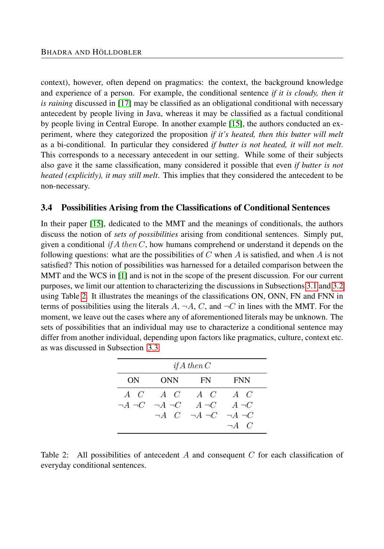context), however, often depend on pragmatics: the context, the background knowledge and experience of a person. For example, the conditional sentence *if it is cloudy, then it is raining* discussed in [\[17\]](#page-25-13) may be classified as an obligational conditional with necessary antecedent by people living in Java, whereas it may be classified as a factual conditional by people living in Central Europe. In another example [\[15\]](#page-25-3), the authors conducted an experiment, where they categorized the proposition *if it's heated, then this butter will melt* as a bi-conditional. In particular they considered *if butter is not heated, it will not melt*. This corresponds to a necessary antecedent in our setting. While some of their subjects also gave it the same classification, many considered it possible that even *if butter is not heated (explicitly), it may still melt*. This implies that they considered the antecedent to be non-necessary.

#### 3.4 Possibilities Arising from the Classifications of Conditional Sentences

In their paper [\[15\]](#page-25-3), dedicated to the MMT and the meanings of conditionals, the authors discuss the notion of *sets of possibilities* arising from conditional sentences. Simply put, given a conditional *if*  $A$  *then*  $C$ , how humans comprehend or understand it depends on the following questions: what are the possibilities of *C* when *A* is satisfied, and when *A* is not satisfied? This notion of possibilities was harnessed for a detailed comparison between the MMT and the WCS in [\[1\]](#page-24-1) and is not in the scope of the present discussion. For our current purposes, we limit our attention to characterizing the discussions in Subsections [3.1](#page-5-1) and [3.2](#page-6-0) using Table [2.](#page-7-0) It illustrates the meanings of the classifications ON, ONN, FN and FNN in terms of possibilities using the literals  $A$ ,  $\neg A$ ,  $C$ , and  $\neg C$  in lines with the MMT. For the moment, we leave out the cases where any of aforementioned literals may be unknown. The sets of possibilities that an individual may use to characterize a conditional sentence may differ from another individual, depending upon factors like pragmatics, culture, context etc. as was discussed in Subsection [3.3.](#page-6-1)

<span id="page-7-0"></span>

| if A then $C$ |                                                                     |                                                  |              |  |  |  |  |  |  |  |
|---------------|---------------------------------------------------------------------|--------------------------------------------------|--------------|--|--|--|--|--|--|--|
| ON -          | ONN                                                                 | FN.                                              | <b>FNN</b>   |  |  |  |  |  |  |  |
|               | $A \quad C \quad A \quad C \quad A \quad C \quad A \quad C$         |                                                  |              |  |  |  |  |  |  |  |
|               | $\neg A \neg C \quad \neg A \neg C \qquad A \neg C \qquad A \neg C$ |                                                  |              |  |  |  |  |  |  |  |
|               |                                                                     | $\neg A$ $C$ $\neg A$ $\neg C$ $\neg A$ $\neg C$ |              |  |  |  |  |  |  |  |
|               |                                                                     |                                                  | $\neg A$ $C$ |  |  |  |  |  |  |  |

Table 2: All possibilities of antecedent *A* and consequent *C* for each classification of everyday conditional sentences.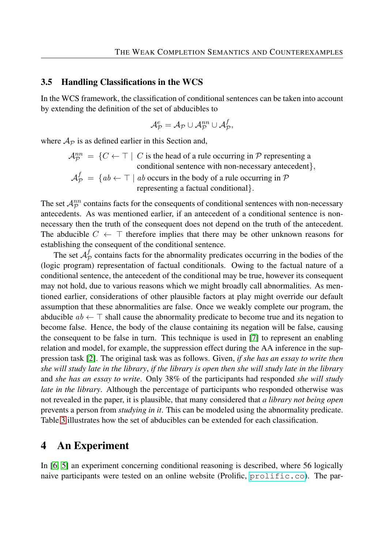#### 3.5 Handling Classifications in the WCS

In the WCS framework, the classification of conditional sentences can be taken into account by extending the definition of the set of abducibles to

$$
\mathcal{A}_{\mathcal{P}}^{e}=\mathcal{A}_{\mathcal{P}}\cup\mathcal{A}_{\mathcal{P}}^{nn}\cup\mathcal{A}_{\mathcal{P}}^{f},
$$

where  $A_{\mathcal{P}}$  is as defined earlier in this Section and,

$$
\mathcal{A}_{\mathcal{P}}^{nn} = \{ C \leftarrow \top \mid C \text{ is the head of a rule occurring in } \mathcal{P} \text{ representing a conditional sentence with non-necessary antecedent} \},\
$$

$$
\mathcal{A}_{\mathcal{P}}^{f} = \{ ab \leftarrow \top \mid ab \text{ occurs in the body of a rule occurring in } \mathcal{P} \text{ representing a factorial conditional} \}.
$$

The set  $\mathcal{A}_{\mathcal{P}}^{nn}$  contains facts for the consequents of conditional sentences with non-necessary antecedents. As was mentioned earlier, if an antecedent of a conditional sentence is nonnecessary then the truth of the consequent does not depend on the truth of the antecedent. The abducible  $C \leftarrow \top$  therefore implies that there may be other unknown reasons for establishing the consequent of the conditional sentence.

The set  $\mathcal{A}_{\mathcal{I}}^{f}$  $\mathcal{P}_\mathcal{P}$  contains facts for the abnormality predicates occurring in the bodies of the (logic program) representation of factual conditionals. Owing to the factual nature of a conditional sentence, the antecedent of the conditional may be true, however its consequent may not hold, due to various reasons which we might broadly call abnormalities. As mentioned earlier, considerations of other plausible factors at play might override our default assumption that these abnormalities are false. Once we weakly complete our program, the abducible  $ab \leftarrow \top$  shall cause the abnormality predicate to become true and its negation to become false. Hence, the body of the clause containing its negation will be false, causing the consequent to be false in turn. This technique is used in [\[7\]](#page-25-2) to represent an enabling relation and model, for example, the suppression effect during the AA inference in the suppression task [\[2\]](#page-24-0). The original task was as follows. Given, *if she has an essay to write then she will study late in the library*, *if the library is open then she will study late in the library* and *she has an essay to write*. Only 38% of the participants had responded *she will study late in the library*. Although the percentage of participants who responded otherwise was not revealed in the paper, it is plausible, that many considered that *a library not being open* prevents a person from *studying in it*. This can be modeled using the abnormality predicate. Table [3](#page-9-0) illustrates how the set of abducibles can be extended for each classification.

## <span id="page-8-0"></span>4 An Experiment

In [\[6,](#page-25-0) [5\]](#page-25-1) an experiment concerning conditional reasoning is described, where 56 logically naive participants were tested on an online website (Prolific,  $p_{\text{rollific.}}$  co). The par-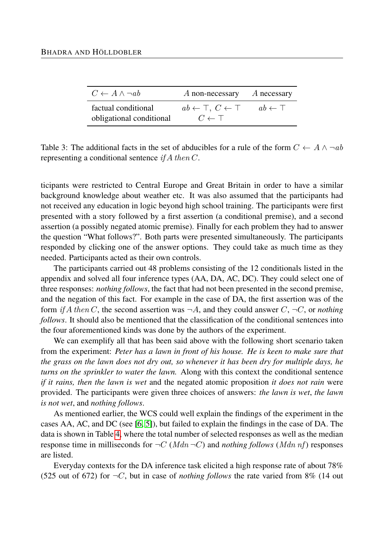<span id="page-9-0"></span>

| $C \leftarrow A \wedge \neg ab$                 | A non-necessary                                                | A necessary          |
|-------------------------------------------------|----------------------------------------------------------------|----------------------|
| factual conditional<br>obligational conditional | $ab \leftarrow \top, C \leftarrow \top$<br>$C \leftarrow \top$ | $ab \leftarrow \top$ |

Table 3: The additional facts in the set of abducibles for a rule of the form  $C \leftarrow A \land \neg ab$ representing a conditional sentence *if A then C*.

ticipants were restricted to Central Europe and Great Britain in order to have a similar background knowledge about weather etc. It was also assumed that the participants had not received any education in logic beyond high school training. The participants were first presented with a story followed by a first assertion (a conditional premise), and a second assertion (a possibly negated atomic premise). Finally for each problem they had to answer the question "What follows?". Both parts were presented simultaneously. The participants responded by clicking one of the answer options. They could take as much time as they needed. Participants acted as their own controls.

The participants carried out 48 problems consisting of the 12 conditionals listed in the appendix and solved all four inference types (AA, DA, AC, DC). They could select one of three responses: *nothing follows*, the fact that had not been presented in the second premise, and the negation of this fact. For example in the case of DA, the first assertion was of the form *if A then C*, the second assertion was  $\neg A$ , and they could answer *C*,  $\neg C$ , or *nothing follows*. It should also be mentioned that the classification of the conditional sentences into the four aforementioned kinds was done by the authors of the experiment.

We can exemplify all that has been said above with the following short scenario taken from the experiment: *Peter has a lawn in front of his house. He is keen to make sure that the grass on the lawn does not dry out, so whenever it has been dry for multiple days, he turns on the sprinkler to water the lawn.* Along with this context the conditional sentence *if it rains, then the lawn is wet* and the negated atomic proposition *it does not rain* were provided. The participants were given three choices of answers: *the lawn is wet*, *the lawn is not wet*, and *nothing follows*.

As mentioned earlier, the WCS could well explain the findings of the experiment in the cases AA, AC, and DC (see [\[6,](#page-25-0) [5\]](#page-25-1)), but failed to explain the findings in the case of DA. The data is shown in Table [4,](#page-10-0) where the total number of selected responses as well as the median response time in milliseconds for  $\neg C$  (*Mdn*  $\neg C$ ) and *nothing follows* (*Mdn nf*) responses are listed.

Everyday contexts for the DA inference task elicited a high response rate of about 78% (525 out of 672) for  $\neg C$ , but in case of *nothing follows* the rate varied from 8% (14 out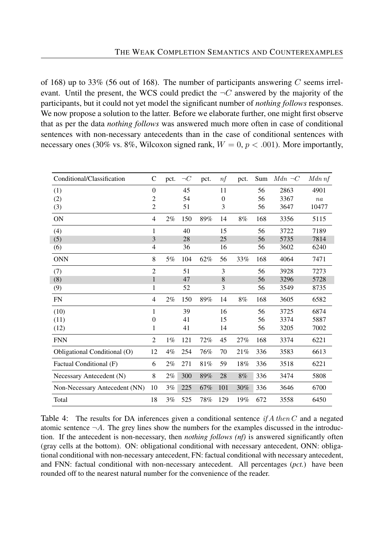of 168) up to 33% (56 out of 168). The number of participants answering *C* seems irrelevant. Until the present, the WCS could predict the  $\neg C$  answered by the majority of the participants, but it could not yet model the significant number of *nothing follows* responses. We now propose a solution to the latter. Before we elaborate further, one might first observe that as per the data *nothing follows* was answered much more often in case of conditional sentences with non-necessary antecedents than in the case of conditional sentences with necessary ones (30% vs. 8%, Wilcoxon signed rank,  $W = 0, p < .001$ ). More importantly,

<span id="page-10-0"></span>

| Conditional/Classification    | C              | pct.  | $\neg C$ | pct. | $\eta f$       | pct. | Sum | $Mdn \neg C$ | Mdn nf |
|-------------------------------|----------------|-------|----------|------|----------------|------|-----|--------------|--------|
| (1)                           | $\theta$       |       | 45       |      | 11             |      | 56  | 2863         | 4901   |
| (2)                           | 2              |       | 54       |      | $\overline{0}$ |      | 56  | 3367         | na     |
| (3)                           | 2              |       | 51       |      | 3              |      | 56  | 3647         | 10477  |
| <b>ON</b>                     | $\overline{4}$ | 2%    | 150      | 89%  | 14             | 8%   | 168 | 3356         | 5115   |
| (4)                           | 1              |       | 40       |      | 15             |      | 56  | 3722         | 7189   |
| (5)                           | 3              |       | 28       |      | 25             |      | 56  | 5735         | 7814   |
| (6)                           | $\overline{4}$ |       | 36       |      | 16             |      | 56  | 3602         | 6240   |
| <b>ONN</b>                    | 8              | 5%    | 104      | 62%  | 56             | 33%  | 168 | 4064         | 7471   |
| (7)                           | $\overline{2}$ |       | 51       |      | 3              |      | 56  | 3928         | 7273   |
| (8)                           | $\mathbf{1}$   |       | 47       |      | 8              |      | 56  | 3296         | 5728   |
| (9)                           | 1              |       | 52       |      | 3              |      | 56  | 3549         | 8735   |
| <b>FN</b>                     | $\overline{4}$ | 2%    | 150      | 89%  | 14             | 8%   | 168 | 3605         | 6582   |
| (10)                          | 1              |       | 39       |      | 16             |      | 56  | 3725         | 6874   |
| (11)                          | $\Omega$       |       | 41       |      | 15             |      | 56  | 3374         | 5887   |
| (12)                          | 1              |       | 41       |      | 14             |      | 56  | 3205         | 7002   |
| <b>FNN</b>                    | $\overline{2}$ | $1\%$ | 121      | 72%  | 45             | 27%  | 168 | 3374         | 6221   |
| Obligational Conditional (O)  | 12             | $4\%$ | 254      | 76%  | 70             | 21%  | 336 | 3583         | 6613   |
| Factual Conditional (F)       | 6              | $2\%$ | 271      | 81%  | 59             | 18%  | 336 | 3518         | 6221   |
| Necessary Antecedent (N)      | 8              | $2\%$ | 300      | 89%  | 28             | 8%   | 336 | 3474         | 5808   |
| Non-Necessary Antecedent (NN) | 10             | 3%    | 225      | 67%  | 101            | 30%  | 336 | 3646         | 6700   |
| Total                         | 18             | 3%    | 525      | 78%  | 129            | 19%  | 672 | 3558         | 6450   |

Table 4: The results for DA inferences given a conditional sentence *if A then C* and a negated atomic sentence  $\neg A$ . The grey lines show the numbers for the examples discussed in the introduction. If the antecedent is non-necessary, then *nothing follows (nf)* is answered significantly often (gray cells at the bottom). ON: obligational conditional with necessary antecedent, ONN: obligational conditional with non-necessary antecedent, FN: factual conditional with necessary antecedent, and FNN: factual conditional with non-necessary antecedent. All percentages (*pct.*) have been rounded off to the nearest natural number for the convenience of the reader.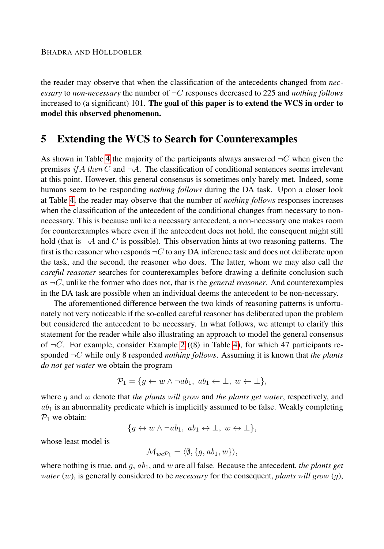the reader may observe that when the classification of the antecedents changed from *necessary* to *non-necessary* the number of ¬*C* responses decreased to 225 and *nothing follows* increased to (a significant)  $101$ . The goal of this paper is to extend the WCS in order to model this observed phenomenon.

## <span id="page-11-0"></span>5 Extending the WCS to Search for Counterexamples

As shown in Table [4](#page-10-0) the majority of the participants always answered  $\neg C$  when given the premises *if*  $A$  *then*  $C$  and  $\neg A$ . The classification of conditional sentences seems irrelevant at this point. However, this general consensus is sometimes only barely met. Indeed, some humans seem to be responding *nothing follows* during the DA task. Upon a closer look at Table [4,](#page-10-0) the reader may observe that the number of *nothing follows* responses increases when the classification of the antecedent of the conditional changes from necessary to nonnecessary. This is because unlike a necessary antecedent, a non-necessary one makes room for counterexamples where even if the antecedent does not hold, the consequent might still hold (that is  $\neg A$  and C is possible). This observation hints at two reasoning patterns. The first is the reasoner who responds ¬*C* to any DA inference task and does not deliberate upon the task, and the second, the reasoner who does. The latter, whom we may also call the *careful reasoner* searches for counterexamples before drawing a definite conclusion such as  $\neg C$ , unlike the former who does not, that is the *general reasoner*. And counterexamples in the DA task are possible when an individual deems the antecedent to be non-necessary.

The aforementioned difference between the two kinds of reasoning patterns is unfortunately not very noticeable if the so-called careful reasoner has deliberated upon the problem but considered the antecedent to be necessary. In what follows, we attempt to clarify this statement for the reader while also illustrating an approach to model the general consensus of  $\neg C$ . For example, consider Example [2](#page-1-1) ((8) in Table [4\)](#page-10-0), for which 47 participants responded ¬*C* while only 8 responded *nothing follows*. Assuming it is known that *the plants do not get water* we obtain the program

$$
\mathcal{P}_1 = \{ g \leftarrow w \land \neg ab_1, \ ab_1 \leftarrow \bot, \ w \leftarrow \bot \},
$$

where *g* and *w* denote that *the plants will grow* and *the plants get water*, respectively, and *ab*<sup>1</sup> is an abnormality predicate which is implicitly assumed to be false. Weakly completing  $P_1$  we obtain:

$$
\{g \leftrightarrow w \land \neg ab_1, \ ab_1 \leftrightarrow \bot, \ w \leftrightarrow \bot\},\
$$

whose least model is

$$
\mathcal{M}_{wc\mathcal{P}_1} = \langle \emptyset, \{g, ab_1, w\} \rangle,
$$

where nothing is true, and *g*, *ab*1, and *w* are all false. Because the antecedent, *the plants get water* (*w*), is generally considered to be *necessary* for the consequent, *plants will grow* (*g*),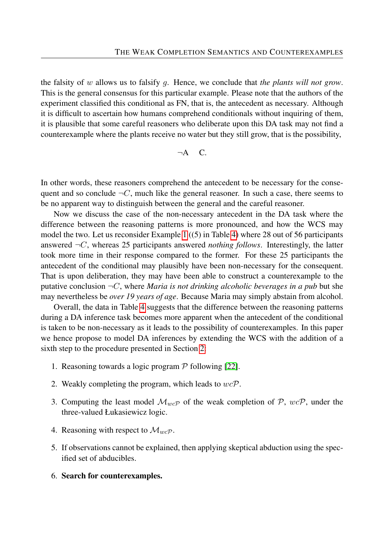the falsity of *w* allows us to falsify *g*. Hence, we conclude that *the plants will not grow*. This is the general consensus for this particular example. Please note that the authors of the experiment classified this conditional as FN, that is, the antecedent as necessary. Although it is difficult to ascertain how humans comprehend conditionals without inquiring of them, it is plausible that some careful reasoners who deliberate upon this DA task may not find a counterexample where the plants receive no water but they still grow, that is the possibility,

$$
\neg A \quad C.
$$

In other words, these reasoners comprehend the antecedent to be necessary for the consequent and so conclude  $\neg C$ , much like the general reasoner. In such a case, there seems to be no apparent way to distinguish between the general and the careful reasoner.

Now we discuss the case of the non-necessary antecedent in the DA task where the difference between the reasoning patterns is more pronounced, and how the WCS may model the two. Let us reconsider Example [1](#page-1-0) ((5) in Table [4\)](#page-10-0) where 28 out of 56 participants answered  $\neg C$ , whereas 25 participants answered *nothing follows*. Interestingly, the latter took more time in their response compared to the former. For these 25 participants the antecedent of the conditional may plausibly have been non-necessary for the consequent. That is upon deliberation, they may have been able to construct a counterexample to the putative conclusion  $\neg C$ , where *Maria is not drinking alcoholic beverages in a pub* but she may nevertheless be *over 19 years of age*. Because Maria may simply abstain from alcohol.

Overall, the data in Table [4](#page-10-0) suggests that the difference between the reasoning patterns during a DA inference task becomes more apparent when the antecedent of the conditional is taken to be non-necessary as it leads to the possibility of counterexamples. In this paper we hence propose to model DA inferences by extending the WCS with the addition of a sixth step to the procedure presented in Section [2:](#page-2-0)

- 1. Reasoning towards a logic program  $P$  following [\[22\]](#page-26-3).
- 2. Weakly completing the program, which leads to *wc*P.
- 3. Computing the least model  $\mathcal{M}_{w\text{c}}$  of the weak completion of  $\mathcal{P}$ ,  $w\text{c}\mathcal{P}$ , under the three-valued Łukasiewicz logic.
- 4. Reasoning with respect to  $\mathcal{M}_{wcP}$ .
- 5. If observations cannot be explained, then applying skeptical abduction using the specified set of abducibles.
- 6. Search for counterexamples.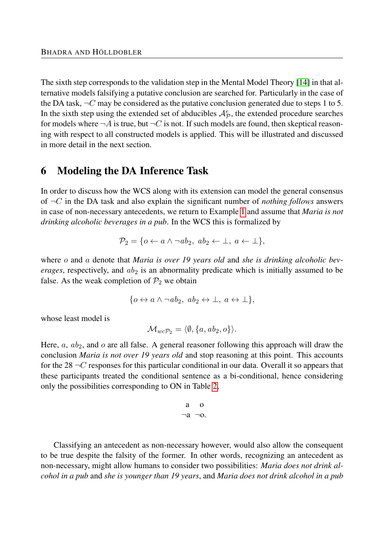The sixth step corresponds to the validation step in the Mental Model Theory [\[14\]](#page-25-14) in that alternative models falsifying a putative conclusion are searched for. Particularly in the case of the DA task,  $\neg C$  may be considered as the putative conclusion generated due to steps 1 to 5. In the sixth step using the extended set of abducibles  $\mathcal{A}_{\mathcal{P}}^e$ , the extended procedure searches for models where  $\neg A$  is true, but  $\neg C$  is not. If such models are found, then skeptical reasoning with respect to all constructed models is applied. This will be illustrated and discussed in more detail in the next section.

## <span id="page-13-0"></span>6 Modeling the DA Inference Task

In order to discuss how the WCS along with its extension can model the general consensus of ¬*C* in the DA task and also explain the significant number of *nothing follows* answers in case of non-necessary antecedents, we return to Example [1](#page-1-0) and assume that *Maria is not drinking alcoholic beverages in a pub*. In the WCS this is formalized by

$$
\mathcal{P}_2 = \{o \leftarrow a \land \neg ab_2, \ ab_2 \leftarrow \bot, \ a \leftarrow \bot\},\
$$

where *o* and *a* denote that *Maria is over 19 years old* and *she is drinking alcoholic beverages*, respectively, and  $ab_2$  is an abnormality predicate which is initially assumed to be false. As the weak completion of  $\mathcal{P}_2$  we obtain

$$
\{o \leftrightarrow a \land \neg ab_2, \ ab_2 \leftrightarrow \bot, \ a \leftrightarrow \bot\},\
$$

whose least model is

$$
\mathcal{M}_{wcP_2} = \langle \emptyset, \{a, ab_2, o\} \rangle.
$$

Here, *a*, *ab*2, and *o* are all false. A general reasoner following this approach will draw the conclusion *Maria is not over 19 years old* and stop reasoning at this point. This accounts for the 28 ¬*C* responses for this particular conditional in our data. Overall it so appears that these participants treated the conditional sentence as a bi-conditional, hence considering only the possibilities corresponding to ON in Table [2,](#page-7-0)

$$
\begin{array}{cc} a & o \\ \neg a & \neg o \end{array}
$$

Classifying an antecedent as non-necessary however, would also allow the consequent to be true despite the falsity of the former. In other words, recognizing an antecedent as non-necessary, might allow humans to consider two possibilities: *Maria does not drink alcohol in a pub* and *she is younger than 19 years*, and *Maria does not drink alcohol in a pub*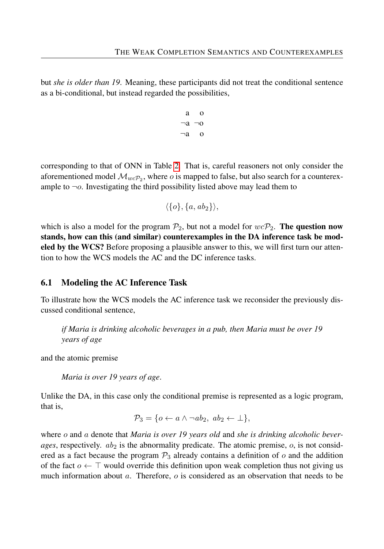but *she is older than 19*. Meaning, these participants did not treat the conditional sentence as a bi-conditional, but instead regarded the possibilities,

$$
\begin{array}{cc}\n a & o \\
 \neg a & \neg o \\
 \neg a & o\n \end{array}
$$

corresponding to that of ONN in Table [2.](#page-7-0) That is, careful reasoners not only consider the aforementioned model  $\mathcal{M}_{wc\mathcal{P}_2}$ , where *o* is mapped to false, but also search for a counterexample to  $\neg$ *o*. Investigating the third possibility listed above may lead them to

$$
\langle \{o\}, \{a, ab_2\} \rangle,
$$

which is also a model for the program  $P_2$ , but not a model for  $wcP_2$ . **The question now** stands, how can this (and similar) counterexamples in the DA inference task be modeled by the WCS? Before proposing a plausible answer to this, we will first turn our attention to how the WCS models the AC and the DC inference tasks.

#### <span id="page-14-0"></span>6.1 Modeling the AC Inference Task

To illustrate how the WCS models the AC inference task we reconsider the previously discussed conditional sentence,

*if Maria is drinking alcoholic beverages in a pub, then Maria must be over 19 years of age*

and the atomic premise

*Maria is over 19 years of age*.

Unlike the DA, in this case only the conditional premise is represented as a logic program, that is,

$$
\mathcal{P}_3 = \{o \leftarrow a \land \neg ab_2, \ ab_2 \leftarrow \bot\},\
$$

where *o* and *a* denote that *Maria is over 19 years old* and *she is drinking alcoholic beverages*, respectively. *ab*<sup>2</sup> is the abnormality predicate. The atomic premise, *o*, is not considered as a fact because the program  $\mathcal{P}_3$  already contains a definition of  $\sigma$  and the addition of the fact *o* ← ⊤ would override this definition upon weak completion thus not giving us much information about *a*. Therefore, *o* is considered as an observation that needs to be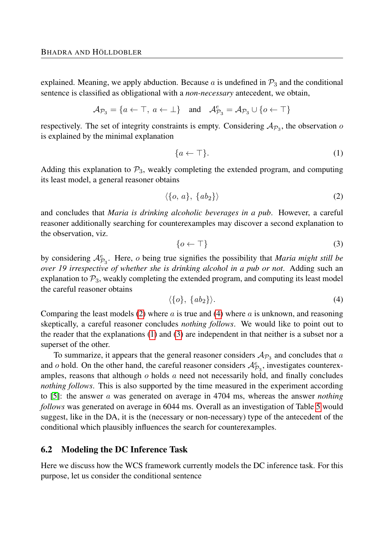explained. Meaning, we apply abduction. Because  $a$  is undefined in  $\mathcal{P}_3$  and the conditional sentence is classified as obligational with a *non-necessary* antecedent, we obtain,

$$
\mathcal{A}_{\mathcal{P}_3} = \{a \leftarrow \top, a \leftarrow \bot\} \quad \text{and} \quad \mathcal{A}_{\mathcal{P}_3}^e = \mathcal{A}_{\mathcal{P}_3} \cup \{o \leftarrow \top\}
$$

respectively. The set of integrity constraints is empty. Considering  $A_{\mathcal{P}_3}$ , the observation  $o$ is explained by the minimal explanation

<span id="page-15-2"></span>
$$
\{a \leftarrow \top\}.\tag{1}
$$

Adding this explanation to  $\mathcal{P}_3$ , weakly completing the extended program, and computing its least model, a general reasoner obtains

<span id="page-15-0"></span>
$$
\langle \{o, a\}, \{ab_2\} \rangle \tag{2}
$$

and concludes that *Maria is drinking alcoholic beverages in a pub*. However, a careful reasoner additionally searching for counterexamples may discover a second explanation to the observation, viz.

<span id="page-15-3"></span>
$$
\{o \leftarrow \top\} \tag{3}
$$

by considering  $A_{\mathcal{P}_3}^e$ . Here, *o* being true signifies the possibility that *Maria might still be over 19 irrespective of whether she is drinking alcohol in a pub or not*. Adding such an explanation to  $P_3$ , weakly completing the extended program, and computing its least model the careful reasoner obtains

<span id="page-15-1"></span>
$$
\langle \{o\}, \{ab_2\} \rangle. \tag{4}
$$

Comparing the least models [\(2\)](#page-15-0) where *a* is true and [\(4\)](#page-15-1) where *a* is unknown, and reasoning skeptically, a careful reasoner concludes *nothing follows*. We would like to point out to the reader that the explanations [\(1\)](#page-15-2) and [\(3\)](#page-15-3) are independent in that neither is a subset nor a superset of the other.

To summarize, it appears that the general reasoner considers  $A_{\mathcal{P}_3}$  and concludes that *a* and *o* hold. On the other hand, the careful reasoner considers  $A_{\mathcal{P}_3}^e$ , investigates counterexamples, reasons that although *o* holds *a* need not necessarily hold, and finally concludes *nothing follows*. This is also supported by the time measured in the experiment according to [\[5\]](#page-25-1): the answer *a* was generated on average in 4704 ms, whereas the answer *nothing follows* was generated on average in 6044 ms. Overall as an investigation of Table [5](#page-23-0) would suggest, like in the DA, it is the (necessary or non-necessary) type of the antecedent of the conditional which plausibly influences the search for counterexamples.

#### <span id="page-15-4"></span>6.2 Modeling the DC Inference Task

Here we discuss how the WCS framework currently models the DC inference task. For this purpose, let us consider the conditional sentence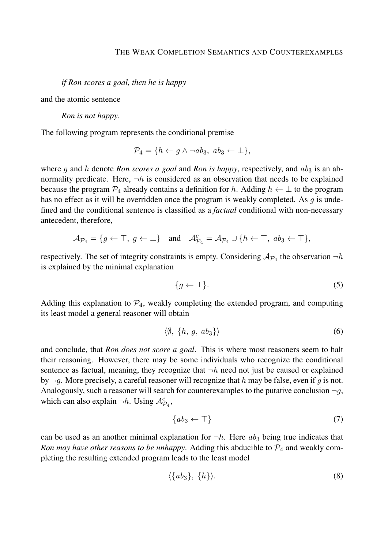*if Ron scores a goal, then he is happy*

and the atomic sentence

*Ron is not happy*.

The following program represents the conditional premise

$$
\mathcal{P}_4 = \{ h \leftarrow g \land \neg ab_3, \ ab_3 \leftarrow \bot \},
$$

where g and h denote *Ron scores a goal* and *Ron is happy*, respectively, and  $ab_3$  is an abnormality predicate. Here,  $\neg h$  is considered as an observation that needs to be explained because the program  $\mathcal{P}_4$  already contains a definition for *h*. Adding  $h \leftarrow \perp$  to the program has no effect as it will be overridden once the program is weakly completed. As *g* is undefined and the conditional sentence is classified as a *factual* conditional with non-necessary antecedent, therefore,

$$
\mathcal{A}_{\mathcal{P}_4} = \{g \leftarrow \top, \ g \leftarrow \bot\} \quad \text{and} \quad \mathcal{A}_{\mathcal{P}_4}^e = \mathcal{A}_{\mathcal{P}_4} \cup \{h \leftarrow \top, \ ab_3 \leftarrow \top\},\
$$

respectively. The set of integrity constraints is empty. Considering  $A_{\mathcal{P}_4}$  the observation  $\neg h$ is explained by the minimal explanation

<span id="page-16-2"></span>
$$
\{g \leftarrow \bot\}.\tag{5}
$$

Adding this explanation to  $\mathcal{P}_4$ , weakly completing the extended program, and computing its least model a general reasoner will obtain

<span id="page-16-0"></span>
$$
\langle \emptyset, \{h, g, ab_3\} \rangle \tag{6}
$$

and conclude, that *Ron does not score a goal*. This is where most reasoners seem to halt their reasoning. However, there may be some individuals who recognize the conditional sentence as factual, meaning, they recognize that  $\neg h$  need not just be caused or explained by ¬*g*. More precisely, a careful reasoner will recognize that *h* may be false, even if *g* is not. Analogously, such a reasoner will search for counterexamples to the putative conclusion  $\neg g$ , which can also explain  $\neg h$ . Using  $\mathcal{A}_{\mathcal{P}_4}^e$ ,

<span id="page-16-3"></span>
$$
\{ab_3 \leftarrow \top\} \tag{7}
$$

can be used as an another minimal explanation for  $\neg h$ . Here  $ab_3$  being true indicates that *Ron may have other reasons to be unhappy.* Adding this abducible to  $P_4$  and weakly completing the resulting extended program leads to the least model

<span id="page-16-1"></span>
$$
\langle \{ab_3\}, \{h\} \rangle. \tag{8}
$$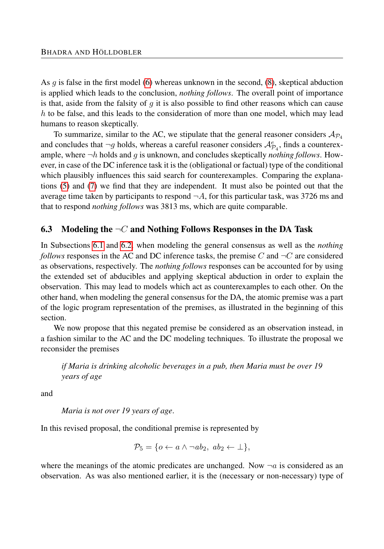As *g* is false in the first model [\(6\)](#page-16-0) whereas unknown in the second, [\(8\)](#page-16-1), skeptical abduction is applied which leads to the conclusion, *nothing follows*. The overall point of importance is that, aside from the falsity of *g* it is also possible to find other reasons which can cause *h* to be false, and this leads to the consideration of more than one model, which may lead humans to reason skeptically.

To summarize, similar to the AC, we stipulate that the general reasoner considers  $A_{\mathcal{P}_4}$ and concludes that  $\neg g$  holds, whereas a careful reasoner considers  $\mathcal{A}_{\mathcal{P}_4}^e$ , finds a counterexample, where ¬*h* holds and *g* is unknown, and concludes skeptically *nothing follows*. However, in case of the DC inference task it is the (obligational or factual) type of the conditional which plausibly influences this said search for counterexamples. Comparing the explanations [\(5\)](#page-16-2) and [\(7\)](#page-16-3) we find that they are independent. It must also be pointed out that the average time taken by participants to respond  $\neg A$ , for this particular task, was 3726 ms and that to respond *nothing follows* was 3813 ms, which are quite comparable.

#### 6.3 Modeling the ¬*C* and Nothing Follows Responses in the DA Task

In Subsections [6.1](#page-14-0) and [6.2,](#page-15-4) when modeling the general consensus as well as the *nothing follows* responses in the AC and DC inference tasks, the premise C and  $\neg C$  are considered as observations, respectively. The *nothing follows* responses can be accounted for by using the extended set of abducibles and applying skeptical abduction in order to explain the observation. This may lead to models which act as counterexamples to each other. On the other hand, when modeling the general consensus for the DA, the atomic premise was a part of the logic program representation of the premises, as illustrated in the beginning of this section.

We now propose that this negated premise be considered as an observation instead, in a fashion similar to the AC and the DC modeling techniques. To illustrate the proposal we reconsider the premises

*if Maria is drinking alcoholic beverages in a pub, then Maria must be over 19 years of age*

and

*Maria is not over 19 years of age*.

In this revised proposal, the conditional premise is represented by

$$
\mathcal{P}_5 = \{o \leftarrow a \land \neg ab_2, \ ab_2 \leftarrow \bot\},\
$$

where the meanings of the atomic predicates are unchanged. Now  $\neg a$  is considered as an observation. As was also mentioned earlier, it is the (necessary or non-necessary) type of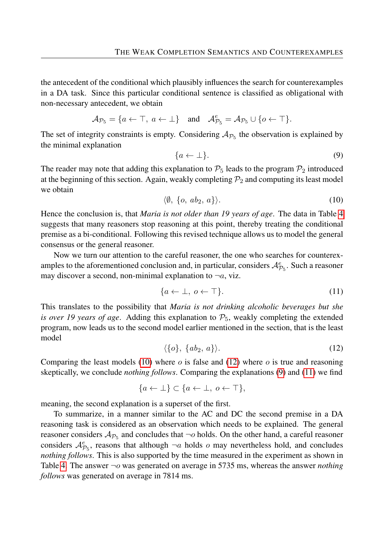the antecedent of the conditional which plausibly influences the search for counterexamples in a DA task. Since this particular conditional sentence is classified as obligational with non-necessary antecedent, we obtain

$$
\mathcal{A}_{\mathcal{P}_5} = \{a \leftarrow \top, \, a \leftarrow \bot\} \quad \text{and} \quad \mathcal{A}_{\mathcal{P}_5}^e = \mathcal{A}_{\mathcal{P}_5} \cup \{o \leftarrow \top\}.
$$

The set of integrity constraints is empty. Considering  $A_{\mathcal{P}_5}$  the observation is explained by the minimal explanation

<span id="page-18-2"></span>
$$
\{a \leftarrow \bot\}.\tag{9}
$$

The reader may note that adding this explanation to  $P_5$  leads to the program  $P_2$  introduced at the beginning of this section. Again, weakly completing  $P_2$  and computing its least model we obtain

<span id="page-18-0"></span>
$$
\langle \emptyset, \{o, ab_2, a\} \rangle. \tag{10}
$$

Hence the conclusion is, that *Maria is not older than 19 years of age*. The data in Table [4](#page-10-0) suggests that many reasoners stop reasoning at this point, thereby treating the conditional premise as a bi-conditional. Following this revised technique allows us to model the general consensus or the general reasoner.

Now we turn our attention to the careful reasoner, the one who searches for counterexamples to the aforementioned conclusion and, in particular, considers  $\mathcal{A}^e_{\mathcal{P}_5}$ . Such a reasoner may discover a second, non-minimal explanation to  $\neg a$ , viz.

<span id="page-18-3"></span>
$$
\{a \leftarrow \bot, \ o \leftarrow \top\}.\tag{11}
$$

This translates to the possibility that *Maria is not drinking alcoholic beverages but she is over 19 years of age.* Adding this explanation to  $P_5$ , weakly completing the extended program, now leads us to the second model earlier mentioned in the section, that is the least model

<span id="page-18-1"></span>
$$
\langle \{o\}, \{ab_2, a\} \rangle. \tag{12}
$$

Comparing the least models [\(10\)](#page-18-0) where *o* is false and [\(12\)](#page-18-1) where *o* is true and reasoning skeptically, we conclude *nothing follows*. Comparing the explanations [\(9\)](#page-18-2) and [\(11\)](#page-18-3) we find

$$
\{a \leftarrow \bot\} \subset \{a \leftarrow \bot, \ o \leftarrow \top\},\
$$

meaning, the second explanation is a superset of the first.

To summarize, in a manner similar to the AC and DC the second premise in a DA reasoning task is considered as an observation which needs to be explained. The general reasoner considers  $A_{\mathcal{P}_5}$  and concludes that  $\neg o$  holds. On the other hand, a careful reasoner considers  $\mathcal{A}_{\mathcal{P}_5}^e$ , reasons that although  $\neg a$  holds *o* may nevertheless hold, and concludes *nothing follows*. This is also supported by the time measured in the experiment as shown in Table [4.](#page-10-0) The answer ¬*o* was generated on average in 5735 ms, whereas the answer *nothing follows* was generated on average in 7814 ms.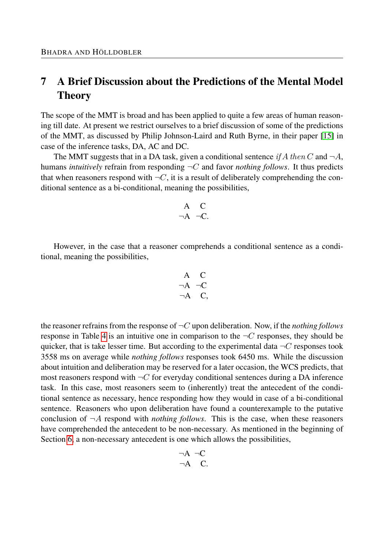## <span id="page-19-0"></span>7 A Brief Discussion about the Predictions of the Mental Model Theory

The scope of the MMT is broad and has been applied to quite a few areas of human reasoning till date. At present we restrict ourselves to a brief discussion of some of the predictions of the MMT, as discussed by Philip Johnson-Laird and Ruth Byrne, in their paper [\[15\]](#page-25-3) in case of the inference tasks, DA, AC and DC.

The MMT suggests that in a DA task, given a conditional sentence *if* A *then* C and  $\neg A$ , humans *intuitively* refrain from responding  $\neg C$  and favor *nothing follows*. It thus predicts that when reasoners respond with  $\neg C$ , it is a result of deliberately comprehending the conditional sentence as a bi-conditional, meaning the possibilities,

$$
\begin{array}{cc} A & C \\ \neg A & \neg C. \end{array}
$$

However, in the case that a reasoner comprehends a conditional sentence as a conditional, meaning the possibilities,

$$
\begin{array}{cc} A & C \\ \neg A & \neg C \\ \neg A & C, \end{array}
$$

the reasoner refrains from the response of ¬*C* upon deliberation. Now, if the *nothing follows* response in Table [4](#page-10-0) is an intuitive one in comparison to the  $\neg C$  responses, they should be quicker, that is take lesser time. But according to the experimental data  $\neg C$  responses took 3558 ms on average while *nothing follows* responses took 6450 ms. While the discussion about intuition and deliberation may be reserved for a later occasion, the WCS predicts, that most reasoners respond with  $\neg C$  for everyday conditional sentences during a DA inference task. In this case, most reasoners seem to (inherently) treat the antecedent of the conditional sentence as necessary, hence responding how they would in case of a bi-conditional sentence. Reasoners who upon deliberation have found a counterexample to the putative conclusion of  $\neg A$  respond with *nothing follows*. This is the case, when these reasoners have comprehended the antecedent to be non-necessary. As mentioned in the beginning of Section [6,](#page-13-0) a non-necessary antecedent is one which allows the possibilities,

$$
\neg A \neg C
$$
  

$$
\neg A \quad C.
$$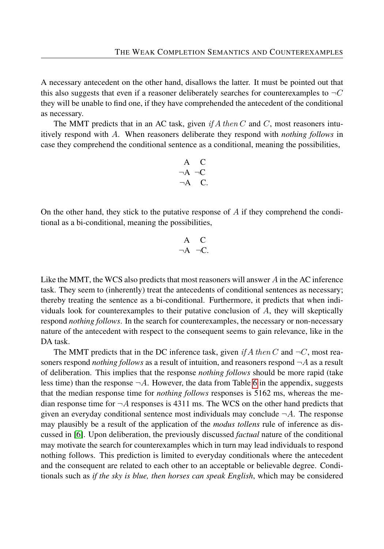A necessary antecedent on the other hand, disallows the latter. It must be pointed out that this also suggests that even if a reasoner deliberately searches for counterexamples to  $\neg C$ they will be unable to find one, if they have comprehended the antecedent of the conditional as necessary.

The MMT predicts that in an AC task, given  $if A then C$  and  $C$ , most reasoners intuitively respond with *A*. When reasoners deliberate they respond with *nothing follows* in case they comprehend the conditional sentence as a conditional, meaning the possibilities,

$$
\begin{array}{cc}\nA & C \\
\neg A & \neg C \\
\neg A & C.\n\end{array}
$$

On the other hand, they stick to the putative response of *A* if they comprehend the conditional as a bi-conditional, meaning the possibilities,

$$
\begin{array}{cc} A & C \\ \neg A & \neg C. \end{array}
$$

Like the MMT, the WCS also predicts that most reasoners will answer *A* in the AC inference task. They seem to (inherently) treat the antecedents of conditional sentences as necessary; thereby treating the sentence as a bi-conditional. Furthermore, it predicts that when individuals look for counterexamples to their putative conclusion of *A*, they will skeptically respond *nothing follows*. In the search for counterexamples, the necessary or non-necessary nature of the antecedent with respect to the consequent seems to gain relevance, like in the DA task.

The MMT predicts that in the DC inference task, given *if*  $A$  *then*  $C$  and  $\neg C$ , most reasoners respond *nothing follows* as a result of intuition, and reasoners respond ¬*A* as a result of deliberation. This implies that the response *nothing follows* should be more rapid (take less time) than the response  $\neg A$ . However, the data from Table [6](#page-24-2) in the appendix, suggests that the median response time for *nothing follows* responses is 5162 ms, whereas the median response time for  $\neg A$  responses is 4311 ms. The WCS on the other hand predicts that given an everyday conditional sentence most individuals may conclude  $\neg A$ . The response may plausibly be a result of the application of the *modus tollens* rule of inference as discussed in [\[6\]](#page-25-0). Upon deliberation, the previously discussed *factual* nature of the conditional may motivate the search for counterexamples which in turn may lead individuals to respond nothing follows. This prediction is limited to everyday conditionals where the antecedent and the consequent are related to each other to an acceptable or believable degree. Conditionals such as *if the sky is blue, then horses can speak English*, which may be considered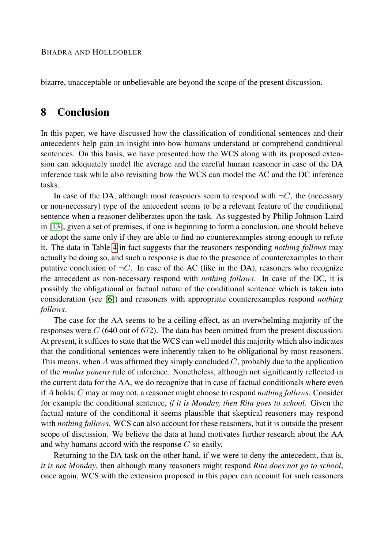bizarre, unacceptable or unbelievable are beyond the scope of the present discussion.

## <span id="page-21-0"></span>8 Conclusion

In this paper, we have discussed how the classification of conditional sentences and their antecedents help gain an insight into how humans understand or comprehend conditional sentences. On this basis, we have presented how the WCS along with its proposed extension can adequately model the average and the careful human reasoner in case of the DA inference task while also revisiting how the WCS can model the AC and the DC inference tasks.

In case of the DA, although most reasoners seem to respond with  $\neg C$ , the (necessary or non-necessary) type of the antecedent seems to be a relevant feature of the conditional sentence when a reasoner deliberates upon the task. As suggested by Philip Johnson-Laird in [\[13\]](#page-25-15), given a set of premises, if one is beginning to form a conclusion, one should believe or adopt the same only if they are able to find no counterexamples strong enough to refute it. The data in Table [4](#page-10-0) in fact suggests that the reasoners responding *nothing follows* may actually be doing so, and such a response is due to the presence of counterexamples to their putative conclusion of  $\neg C$ . In case of the AC (like in the DA), reasoners who recognize the antecedent as non-necessary respond with *nothing follows*. In case of the DC, it is possibly the obligational or factual nature of the conditional sentence which is taken into consideration (see [\[6\]](#page-25-0)) and reasoners with appropriate counterexamples respond *nothing follows*.

The case for the AA seems to be a ceiling effect, as an overwhelming majority of the responses were *C* (640 out of 672). The data has been omitted from the present discussion. At present, it suffices to state that the WCS can well model this majority which also indicates that the conditional sentences were inherently taken to be obligational by most reasoners. This means, when *A* was affirmed they simply concluded *C*, probably due to the application of the *modus ponens* rule of inference. Nonetheless, although not significantly reflected in the current data for the AA, we do recognize that in case of factual conditionals where even if *A* holds, *C* may or may not, a reasoner might choose to respond *nothing follows*. Consider for example the conditional sentence, *if it is Monday, then Rita goes to school*. Given the factual nature of the conditional it seems plausible that skeptical reasoners may respond with *nothing follows*. WCS can also account for these reasoners, but it is outside the present scope of discussion. We believe the data at hand motivates further research about the AA and why humans accord with the response *C* so easily.

Returning to the DA task on the other hand, if we were to deny the antecedent, that is, *it is not Monday*, then although many reasoners might respond *Rita does not go to school*, once again, WCS with the extension proposed in this paper can account for such reasoners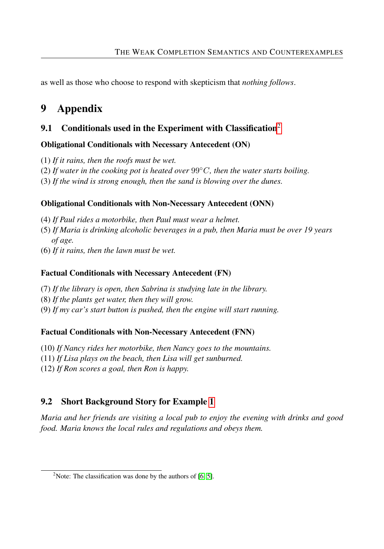as well as those who choose to respond with skepticism that *nothing follows*.

## 9 Appendix

## 9.1 Conditionals used in the Experiment with Classification<sup>[2](#page-22-0)</sup>

### Obligational Conditionals with Necessary Antecedent (ON)

- (1) *If it rains, then the roofs must be wet.*
- (2) If water in the cooking pot is heated over  $99^{\circ}$ C, then the water starts boiling.
- (3) *If the wind is strong enough, then the sand is blowing over the dunes.*

#### Obligational Conditionals with Non-Necessary Antecedent (ONN)

- (4) *If Paul rides a motorbike, then Paul must wear a helmet.*
- (5) *If Maria is drinking alcoholic beverages in a pub, then Maria must be over 19 years of age.*
- (6) *If it rains, then the lawn must be wet.*

### Factual Conditionals with Necessary Antecedent (FN)

- (7) *If the library is open, then Sabrina is studying late in the library.*
- (8) *If the plants get water, then they will grow.*
- (9) *If my car's start button is pushed, then the engine will start running.*

#### Factual Conditionals with Non-Necessary Antecedent (FNN)

- (10) *If Nancy rides her motorbike, then Nancy goes to the mountains.*
- (11) *If Lisa plays on the beach, then Lisa will get sunburned.*
- (12) *If Ron scores a goal, then Ron is happy.*

## 9.2 Short Background Story for Example [1](#page-1-0)

*Maria and her friends are visiting a local pub to enjoy the evening with drinks and good food. Maria knows the local rules and regulations and obeys them.*

<span id="page-22-0"></span><sup>&</sup>lt;sup>2</sup>Note: The classification was done by the authors of  $[6, 5]$  $[6, 5]$ .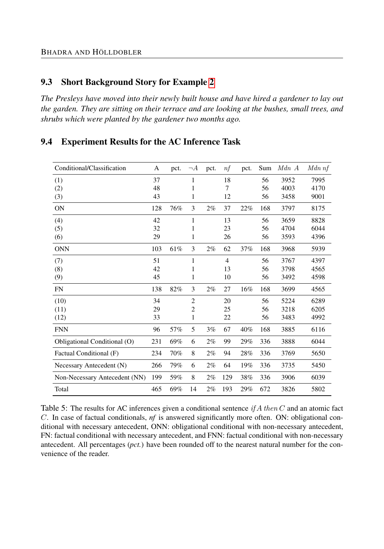#### 9.3 Short Background Story for Example [2](#page-1-1)

*The Presleys have moved into their newly built house and have hired a gardener to lay out the garden. They are sitting on their terrace and are looking at the bushes, small trees, and shrubs which were planted by the gardener two months ago.*

#### 9.4 Experiment Results for the AC Inference Task

<span id="page-23-0"></span>

| Conditional/Classification    | A   | pct. | $\neg A$       | pct.  | n f            | pct. | Sum | Mdn A | $Mdn$ nf |
|-------------------------------|-----|------|----------------|-------|----------------|------|-----|-------|----------|
| (1)                           | 37  |      | 1              |       | 18             |      | 56  | 3952  | 7995     |
| (2)                           | 48  |      | 1              |       | 7              |      | 56  | 4003  | 4170     |
| (3)                           | 43  |      | 1              |       | 12             |      | 56  | 3458  | 9001     |
| <b>ON</b>                     | 128 | 76%  | 3              | $2\%$ | 37             | 22%  | 168 | 3797  | 8175     |
| (4)                           | 42  |      | 1              |       | 13             |      | 56  | 3659  | 8828     |
| (5)                           | 32  |      | 1              |       | 23             |      | 56  | 4704  | 6044     |
| (6)                           | 29  |      | 1              |       | 26             |      | 56  | 3593  | 4396     |
| <b>ONN</b>                    | 103 | 61%  | 3              | $2\%$ | 62             | 37%  | 168 | 3968  | 5939     |
| (7)                           | 51  |      | 1              |       | $\overline{4}$ |      | 56  | 3767  | 4397     |
| (8)                           | 42  |      | 1              |       | 13             |      | 56  | 3798  | 4565     |
| (9)                           | 45  |      | 1              |       | 10             |      | 56  | 3492  | 4598     |
| <b>FN</b>                     | 138 | 82%  | 3              | 2%    | 27             | 16%  | 168 | 3699  | 4565     |
| (10)                          | 34  |      | $\overline{2}$ |       | 20             |      | 56  | 5224  | 6289     |
| (11)                          | 29  |      | $\overline{c}$ |       | 25             |      | 56  | 3218  | 6205     |
| (12)                          | 33  |      | 1              |       | 22             |      | 56  | 3483  | 4992     |
| <b>FNN</b>                    | 96  | 57%  | 5              | 3%    | 67             | 40%  | 168 | 3885  | 6116     |
| Obligational Conditional (O)  | 231 | 69%  | 6              | $2\%$ | 99             | 29%  | 336 | 3888  | 6044     |
| Factual Conditional (F)       | 234 | 70%  | 8              | 2%    | 94             | 28%  | 336 | 3769  | 5650     |
| Necessary Antecedent (N)      | 266 | 79%  | 6              | 2%    | 64             | 19%  | 336 | 3735  | 5450     |
| Non-Necessary Antecedent (NN) | 199 | 59%  | 8              | 2%    | 129            | 38%  | 336 | 3906  | 6039     |
| Total                         | 465 | 69%  | 14             | 2%    | 193            | 29%  | 672 | 3826  | 5802     |

Table 5: The results for AC inferences given a conditional sentence *if A then C* and an atomic fact *C*. In case of factual conditionals, *nf* is answered significantly more often. ON: obligational conditional with necessary antecedent, ONN: obligational conditional with non-necessary antecedent, FN: factual conditional with necessary antecedent, and FNN: factual conditional with non-necessary antecedent. All percentages (*pct.*) have been rounded off to the nearest natural number for the convenience of the reader.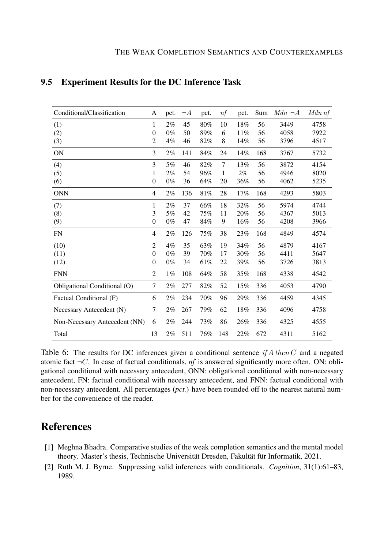<span id="page-24-2"></span>

| Conditional/Classification    | A              | pct.  | $\neg A$ | pct. | nf  | pct. | Sum | $Mdn \neg A$ | $Mdn$ nf |
|-------------------------------|----------------|-------|----------|------|-----|------|-----|--------------|----------|
| (1)                           | 1              | 2%    | 45       | 80%  | 10  | 18%  | 56  | 3449         | 4758     |
| (2)                           | $\overline{0}$ | $0\%$ | 50       | 89%  | 6   | 11%  | 56  | 4058         | 7922     |
| (3)                           | 2              | $4\%$ | 46       | 82%  | 8   | 14%  | 56  | 3796         | 4517     |
| <b>ON</b>                     | 3              | 2%    | 141      | 84%  | 24  | 14%  | 168 | 3767         | 5732     |
| (4)                           | 3              | 5%    | 46       | 82%  | 7   | 13%  | 56  | 3872         | 4154     |
| (5)                           | 1              | 2%    | 54       | 96%  | 1   | 2%   | 56  | 4946         | 8020     |
| (6)                           | $\overline{0}$ | $0\%$ | 36       | 64%  | 20  | 36%  | 56  | 4062         | 5235     |
| <b>ONN</b>                    | 4              | $2\%$ | 136      | 81%  | 28  | 17%  | 168 | 4293         | 5803     |
| (7)                           | 1              | 2%    | 37       | 66%  | 18  | 32%  | 56  | 5974         | 4744     |
| (8)                           | 3              | 5%    | 42       | 75%  | 11  | 20%  | 56  | 4367         | 5013     |
| (9)                           | $\overline{0}$ | $0\%$ | 47       | 84%  | 9   | 16%  | 56  | 4208         | 3966     |
| <b>FN</b>                     | 4              | $2\%$ | 126      | 75%  | 38  | 23%  | 168 | 4849         | 4574     |
| (10)                          | $\overline{c}$ | 4%    | 35       | 63%  | 19  | 34%  | 56  | 4879         | 4167     |
| (11)                          | $\overline{0}$ | $0\%$ | 39       | 70%  | 17  | 30%  | 56  | 4411         | 5647     |
| (12)                          | $\overline{0}$ | $0\%$ | 34       | 61%  | 22  | 39%  | 56  | 3726         | 3813     |
| <b>FNN</b>                    | $\overline{2}$ | $1\%$ | 108      | 64%  | 58  | 35%  | 168 | 4338         | 4542     |
| Obligational Conditional (O)  | 7              | $2\%$ | 277      | 82%  | 52  | 15%  | 336 | 4053         | 4790     |
| Factual Conditional (F)       | 6              | 2%    | 234      | 70%  | 96  | 29%  | 336 | 4459         | 4345     |
| Necessary Antecedent (N)      | 7              | $2\%$ | 267      | 79%  | 62  | 18%  | 336 | 4096         | 4758     |
| Non-Necessary Antecedent (NN) | 6              | $2\%$ | 244      | 73%  | 86  | 26%  | 336 | 4325         | 4555     |
| Total                         | 13             | 2%    | 511      | 76%  | 148 | 22%  | 672 | 4311         | 5162     |

#### 9.5 Experiment Results for the DC Inference Task

Table 6: The results for DC inferences given a conditional sentence *if A then C* and a negated atomic fact  $\neg C$ . In case of factual conditionals, *nf* is answered significantly more often. ON: obligational conditional with necessary antecedent, ONN: obligational conditional with non-necessary antecedent, FN: factual conditional with necessary antecedent, and FNN: factual conditional with non-necessary antecedent. All percentages (*pct.*) have been rounded off to the nearest natural number for the convenience of the reader.

## References

- <span id="page-24-1"></span>[1] Meghna Bhadra. Comparative studies of the weak completion semantics and the mental model theory. Master's thesis, Technische Universität Dresden, Fakultät für Informatik, 2021.
- <span id="page-24-0"></span>[2] Ruth M. J. Byrne. Suppressing valid inferences with conditionals. *Cognition*, 31(1):61–83, 1989.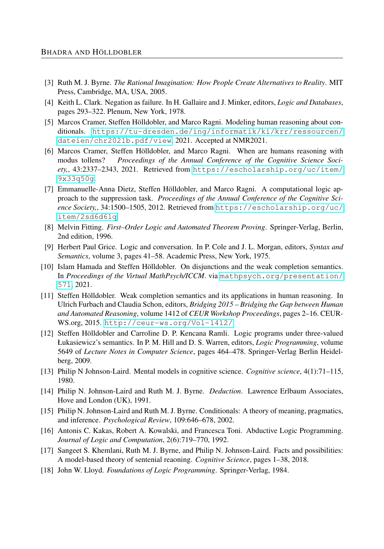- <span id="page-25-12"></span>[3] Ruth M. J. Byrne. *The Rational Imagination: How People Create Alternatives to Reality*. MIT Press, Cambridge, MA, USA, 2005.
- <span id="page-25-7"></span>[4] Keith L. Clark. Negation as failure. In H. Gallaire and J. Minker, editors, *Logic and Databases*, pages 293–322. Plenum, New York, 1978.
- <span id="page-25-1"></span>[5] Marcos Cramer, Steffen Hölldobler, and Marco Ragni. Modeling human reasoning about conditionals. [https://tu-dresden.de/ing/informatik/ki/krr/ressourcen/](https://tu-dresden.de/ing/informatik/ki/krr/ressourcen/dateien/chr2021b.pdf/view) [dateien/chr2021b.pdf/view](https://tu-dresden.de/ing/informatik/ki/krr/ressourcen/dateien/chr2021b.pdf/view), 2021. Accepted at NMR2021.
- <span id="page-25-0"></span>[6] Marcos Cramer, Steffen Hölldobler, and Marco Ragni. When are humans reasoning with modus tollens? *Proceedings of the Annual Conference of the Cognitive Science Society,*, 43:2337–2343, 2021. Retrieved from [https://escholarship.org/uc/item/](https://escholarship.org/uc/item/9x33q50g) [9x33q50g](https://escholarship.org/uc/item/9x33q50g).
- <span id="page-25-2"></span>[7] Emmanuelle-Anna Dietz, Steffen Hölldobler, and Marco Ragni. A computational logic approach to the suppression task. *Proceedings of the Annual Conference of the Cognitive Science Society,*, 34:1500–1505, 2012. Retrieved from [https://escholarship.org/uc/](https://escholarship.org/uc/item/2sd6d61q) [item/2sd6d61q](https://escholarship.org/uc/item/2sd6d61q).
- <span id="page-25-4"></span>[8] Melvin Fitting. *First–Order Logic and Automated Theorem Proving*. Springer-Verlag, Berlin, 2nd edition, 1996.
- <span id="page-25-10"></span>[9] Herbert Paul Grice. Logic and conversation. In P. Cole and J. L. Morgan, editors, *Syntax and Semantics*, volume 3, pages 41–58. Academic Press, New York, 1975.
- <span id="page-25-11"></span>[10] Islam Hamada and Steffen Hölldobler. On disjunctions and the weak completion semantics. In *Proceedings of the Virtual MathPsych/ICCM*. via [mathpsych.org/presentation/](mathpsych.org/presentation/571) [571](mathpsych.org/presentation/571), 2021.
- <span id="page-25-6"></span>[11] Steffen Hölldobler. Weak completion semantics and its applications in human reasoning. In Ulrich Furbach and Claudia Schon, editors, *Bridging 2015 – Bridging the Gap between Human and Automated Reasoning*, volume 1412 of *CEUR Workshop Proceedings*, pages 2–16. CEUR-WS.org, 2015. <http://ceur-ws.org/Vol-1412/>.
- <span id="page-25-8"></span>[12] Steffen Hölldobler and Carroline D. P. Kencana Ramli. Logic programs under three-valued Łukasiewicz's semantics. In P. M. Hill and D. S. Warren, editors, *Logic Programming*, volume 5649 of *Lecture Notes in Computer Science*, pages 464–478. Springer-Verlag Berlin Heidelberg, 2009.
- <span id="page-25-15"></span>[13] Philip N Johnson-Laird. Mental models in cognitive science. *Cognitive science*, 4(1):71–115, 1980.
- <span id="page-25-14"></span>[14] Philip N. Johnson-Laird and Ruth M. J. Byrne. *Deduction*. Lawrence Erlbaum Associates, Hove and London (UK), 1991.
- <span id="page-25-3"></span>[15] Philip N. Johnson-Laird and Ruth M. J. Byrne. Conditionals: A theory of meaning, pragmatics, and inference. *Psychological Review*, 109:646–678, 2002.
- <span id="page-25-9"></span>[16] Antonis C. Kakas, Robert A. Kowalski, and Francesca Toni. Abductive Logic Programming. *Journal of Logic and Computation*, 2(6):719–770, 1992.
- <span id="page-25-13"></span>[17] Sangeet S. Khemlani, Ruth M. J. Byrne, and Philip N. Johnson-Laird. Facts and possibilities: A model-based theory of sentenial reaoning. *Cognitive Science*, pages 1–38, 2018.
- <span id="page-25-5"></span>[18] John W. Lloyd. *Foundations of Logic Programming*. Springer-Verlag, 1984.